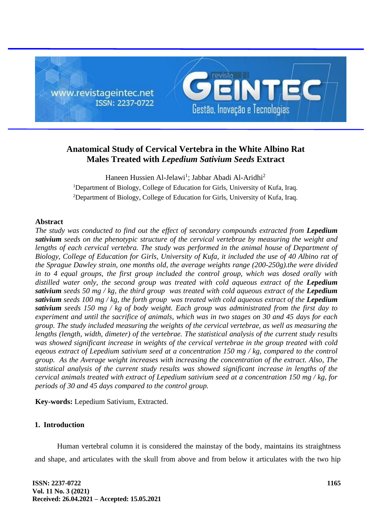

# **Anatomical Study of Cervical Vertebra in the White Albino Rat Males Treated with** *Lepedium Sativium Seeds* **Extract**

Haneen Hussien Al-Jelawi<sup>1</sup>; Jabbar Abadi Al-Aridhi<sup>2</sup> <sup>1</sup>Department of Biology, College of Education for Girls, University of Kufa, Iraq. <sup>2</sup>Department of Biology, College of Education for Girls, University of Kufa, Iraq.

### **Abstract**

*The study was conducted to find out the effect of secondary compounds extracted from Lepedium sativium seeds on the phenotypic structure of the cervical vertebrae by measuring the weight and*  lengths of each cervical vertebra. The study was performed in the animal house of Department of *Biology, College of Education for Girls, University of Kufa, it included the use of 40 Albino rat of the Sprague Dawley strain, one months old, the average weights range (200-250g).the were divided in to 4 equal groups, the first group included the control group, which was dosed orally with*  distilled water only, the second group was treated with cold aqueous extract of the Lepedium *sativium seeds 50 mg / kg, the third group was treated with cold aqueous extract of the Lepedium sativium seeds 100 mg / kg, the forth group was treated with cold aqueous extract of the Lepedium sativium seeds 150 mg / kg of body weight. Each group was administrated from the first day to experiment and until the sacrifice of animals, which was in two stages on 30 and 45 days for each group. The study included measuring the weights of the cervical vertebrae, as well as measuring the lengths (length, width, dimeter) of the vertebrae. The statistical analysis of the current study results was showed significant increase in weights of the cervical vertebrae in the group treated with cold eqeous extract of Lepedium sativium seed at a concentration 150 mg / kg, compared to the control group. As the Average weight increases with increasing the concentration of the extract. Also, The statistical analysis of the current study results was showed significant increase in lengths of the cervical animals treated with extract of Lepedium sativium seed at a concentration 150 mg / kg, for periods of 30 and 45 days compared to the control group.*

**Key-words:** Lepedium Sativium, Extracted.

# **1. Introduction**

Human vertebral column it is considered the mainstay of the body, maintains its straightness and shape, and articulates with the skull from above and from below it articulates with the two hip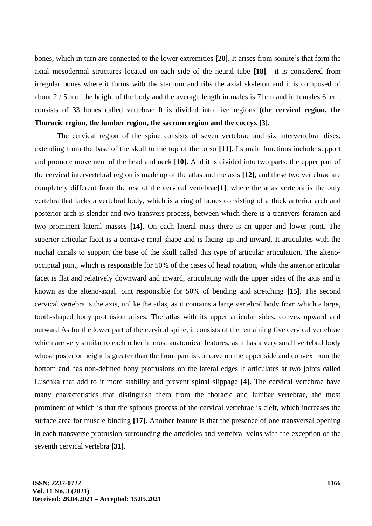bones, which in turn are connected to the lower extremities **[20]**. It arises from somite's that form the axial mesodermal structures located on each side of the neural tube **[18]**. it is considered from irregular bones where it forms with the sternum and ribs the axial skeleton and it is composed of about 2 / 5th of the height of the body and the average length in males is 71cm and in females 61cm, consists of 33 bones called vertebrae It is divided into five regions **(the cervical region, the Thoracic region, the lumber region, the sacrum region and the coccyx [3].**

The cervical region of the spine consists of seven vertebrae and six intervertebral discs, extending from the base of the skull to the top of the torso **[11]**. Its main functions include support and promote movement of the head and neck **[10].** And it is divided into two parts: the upper part of the cervical intervertebral region is made up of the atlas and the axis **[12]**, and these two vertebrae are completely different from the rest of the cervical vertebrae**[1]**, where the atlas vertebra is the only vertebra that lacks a vertebral body, which is a ring of bones consisting of a thick anterior arch and posterior arch is slender and two transvers process, between which there is a transvers foramen and two prominent lateral masses **[14]**. On each lateral mass there is an upper and lower joint. The superior articular facet is a concave renal shape and is facing up and inward. It articulates with the nuchal canals to support the base of the skull called this type of articular articulation. The altenooccipital joint, which is responsible for 50% of the cases of head rotation, while the anterior articular facet is flat and relatively downward and inward, articulating with the upper sides of the axis and is known as the alteno-axial joint responsible for 50% of bending and stretching **[15]**. The second cervical vertebra is the axis, unlike the atlas, as it contains a large vertebral body from which a large, tooth-shaped bony protrusion arises. The atlas with its upper articular sides, convex upward and outward As for the lower part of the cervical spine, it consists of the remaining five cervical vertebrae which are very similar to each other in most anatomical features, as it has a very small vertebral body whose posterior height is greater than the front part is concave on the upper side and convex from the bottom and has non-defined bony protrusions on the lateral edges It articulates at two joints called Luschka that add to it more stability and prevent spinal slippage **[4].** The cervical vertebrae have many characteristics that distinguish them from the thoracic and lumbar vertebrae, the most prominent of which is that the spinous process of the cervical vertebrae is cleft, which increases the surface area for muscle binding **[17].** Another feature is that the presence of one transversal opening in each transverse protrusion surrounding the arterioles and vertebral veins with the exception of the seventh cervical vertebra **[31]**.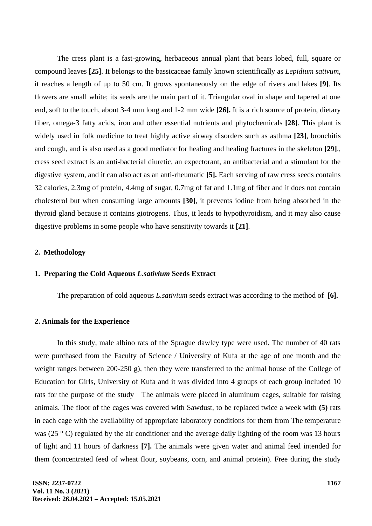The cress plant is a fast-growing, herbaceous annual plant that bears lobed, full, square or compound leaves **[25]**. It belongs to the bassicaceae family known scientifically as *Lepidium sativum*, it reaches a length of up to 50 cm. It grows spontaneously on the edge of rivers and lakes **[9]**. Its flowers are small white; its seeds are the main part of it. Triangular oval in shape and tapered at one end, soft to the touch, about 3-4 mm long and 1-2 mm wide **[26].** It is a rich source of protein, dietary fiber, omega-3 fatty acids, iron and other essential nutrients and phytochemicals **[28]**. This plant is widely used in folk medicine to treat highly active airway disorders such as asthma **[23]**, bronchitis and cough, and is also used as a good mediator for healing and healing fractures in the skeleton **[29]**., cress seed extract is an anti-bacterial diuretic, an expectorant, an antibacterial and a stimulant for the digestive system, and it can also act as an anti-rheumatic **[5].** Each serving of raw cress seeds contains 32 calories, 2.3mg of protein, 4.4mg of sugar, 0.7mg of fat and 1.1mg of fiber and it does not contain cholesterol but when consuming large amounts **[30]**, it prevents iodine from being absorbed in the thyroid gland because it contains giotrogens. Thus, it leads to hypothyroidism, and it may also cause digestive problems in some people who have sensitivity towards it **[21]**.

### **2. Methodology**

#### **1. Preparing the Cold Aqueous** *L.sativium* **Seeds Extract**

The preparation of cold aqueous *L.sativium* seeds extract was according to the method of **[6].**

#### **2. Animals for the Experience**

In this study, male albino rats of the Sprague dawley type were used. The number of 40 rats were purchased from the Faculty of Science / University of Kufa at the age of one month and the weight ranges between 200-250 g), then they were transferred to the animal house of the College of Education for Girls, University of Kufa and it was divided into 4 groups of each group included 10 rats for the purpose of the study The animals were placed in aluminum cages, suitable for raising animals. The floor of the cages was covered with Sawdust, to be replaced twice a week with **(5)** rats in each cage with the availability of appropriate laboratory conditions for them from The temperature was (25 ° C) regulated by the air conditioner and the average daily lighting of the room was 13 hours of light and 11 hours of darkness **[7].** The animals were given water and animal feed intended for them (concentrated feed of wheat flour, soybeans, corn, and animal protein). Free during the study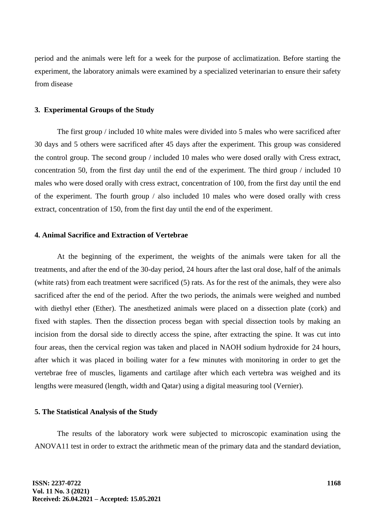period and the animals were left for a week for the purpose of acclimatization. Before starting the experiment, the laboratory animals were examined by a specialized veterinarian to ensure their safety from disease

### **3. Experimental Groups of the Study**

The first group / included 10 white males were divided into 5 males who were sacrificed after 30 days and 5 others were sacrificed after 45 days after the experiment. This group was considered the control group. The second group / included 10 males who were dosed orally with Cress extract, concentration 50, from the first day until the end of the experiment. The third group / included 10 males who were dosed orally with cress extract, concentration of 100, from the first day until the end of the experiment. The fourth group / also included 10 males who were dosed orally with cress extract, concentration of 150, from the first day until the end of the experiment.

# **4. Animal Sacrifice and Extraction of Vertebrae**

At the beginning of the experiment, the weights of the animals were taken for all the treatments, and after the end of the 30-day period, 24 hours after the last oral dose, half of the animals (white rats) from each treatment were sacrificed (5) rats. As for the rest of the animals, they were also sacrificed after the end of the period. After the two periods, the animals were weighed and numbed with diethyl ether (Ether). The anesthetized animals were placed on a dissection plate (cork) and fixed with staples. Then the dissection process began with special dissection tools by making an incision from the dorsal side to directly access the spine, after extracting the spine. It was cut into four areas, then the cervical region was taken and placed in NAOH sodium hydroxide for 24 hours, after which it was placed in boiling water for a few minutes with monitoring in order to get the vertebrae free of muscles, ligaments and cartilage after which each vertebra was weighed and its lengths were measured (length, width and Qatar) using a digital measuring tool (Vernier).

#### **5. The Statistical Analysis of the Study**

The results of the laboratory work were subjected to microscopic examination using the ANOVA11 test in order to extract the arithmetic mean of the primary data and the standard deviation,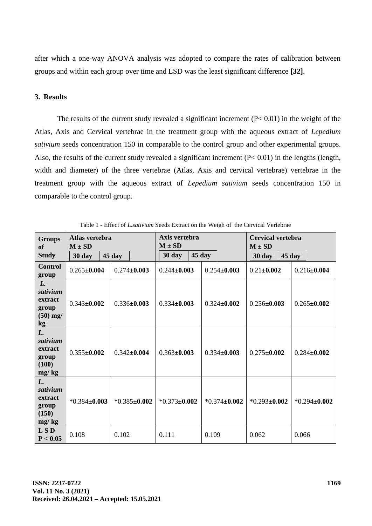after which a one-way ANOVA analysis was adopted to compare the rates of calibration between groups and within each group over time and LSD was the least significant difference **[32]**.

# **3. Results**

The results of the current study revealed a significant increment  $(P< 0.01)$  in the weight of the Atlas, Axis and Cervical vertebrae in the treatment group with the aqueous extract of *Lepedium sativium* seeds concentration 150 in comparable to the control group and other experimental groups. Also, the results of the current study revealed a significant increment (P< 0.01) in the lengths (length, width and diameter) of the three vertebrae (Atlas, Axis and cervical vertebrae) vertebrae in the treatment group with the aqueous extract of *Lepedium sativium* seeds concentration 150 in comparable to the control group.

| <b>Groups</b><br>of<br><b>Study</b>                    | Atlas vertebra<br>$M \pm SD$<br>45 day<br>30 day |                    | Axis vertebra<br>$M \pm SD$<br>30 day | 45 day            | <b>Cervical vertebra</b><br>$M \pm SD$<br>30 day<br>45 day |                   |
|--------------------------------------------------------|--------------------------------------------------|--------------------|---------------------------------------|-------------------|------------------------------------------------------------|-------------------|
| <b>Control</b><br>group                                | $0.265 \pm 0.004$                                | $0.274 \pm 0.003$  | $0.244 \pm 0.003$                     | $0.254 \pm 0.003$ | $0.21 \pm 0.002$                                           | $0.216 \pm 0.004$ |
| L.<br>sativium<br>extract<br>group<br>$(50)$ mg/<br>kg | $0.343 \pm 0.002$                                | $0.336 \pm 0.003$  | $0.334 \pm 0.003$                     | $0.324 \pm 0.002$ | $0.256 \pm 0.003$                                          | $0.265 \pm 0.002$ |
| L.<br>sativium<br>extract<br>group<br>(100)<br>mg/kg   | $0.355 \pm 0.002$                                | $0.342 \pm 0.004$  | $0.363 \pm 0.003$                     | $0.334 \pm 0.003$ | $0.275 \pm 0.002$                                          | $0.284 \pm 0.002$ |
| L.<br>sativium<br>extract<br>group<br>(150)<br>mg/kg   | $*0.384\pm0.003$                                 | $*0.385 \pm 0.002$ | $*0.373 \pm 0.002$                    | $*0.374\pm0.002$  | $*0.293 \pm 0.002$                                         | $*0.294 + 0.002$  |
| <b>LSD</b><br>P < 0.05                                 | 0.108                                            | 0.102              | 0.111                                 | 0.109             | 0.062                                                      | 0.066             |

Table 1 - Effect of *L.sativium* Seeds Extract on the Weigh of the Cervical Vertebrae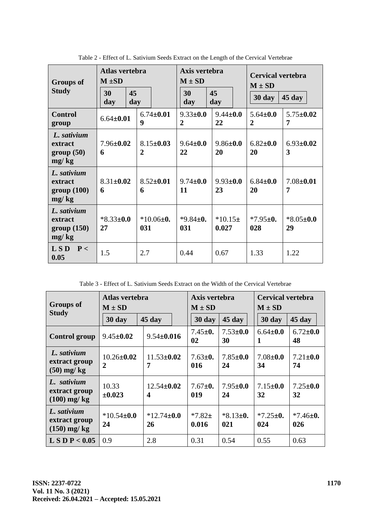| <b>Groups of</b><br><b>Study</b>              | Atlas vertebra<br>$M \pm SD$<br>45<br>30<br>day<br>day |                                     | Axis vertebra<br>$M \pm SD$<br>30<br>day | 45<br>day            | <b>Cervical vertebra</b><br>$M \pm SD$<br>30 day | $45 \mathrm{day}$     |
|-----------------------------------------------|--------------------------------------------------------|-------------------------------------|------------------------------------------|----------------------|--------------------------------------------------|-----------------------|
| <b>Control</b><br>group                       | $6.64 \pm 0.01$                                        | $6.74 \pm 0.01$<br>$\boldsymbol{9}$ | $9.33 \pm 0.0$<br>$\overline{2}$         | $9.44 \pm 0.0$<br>22 | $5.64 \pm 0.0$<br>$\mathbf{2}$                   | $5.75 \pm 0.02$<br>7  |
| L. sativium<br>extract<br>group(50)<br>mg/kg  | $7.96 \pm 0.02$<br>6                                   | $8.15 \pm 0.03$<br>$\mathbf{2}$     | $9.64 \pm 0.0$<br>22                     | $9.86 \pm 0.0$<br>20 | $6.82 \pm 0.0$<br>20                             | $6.93 \pm 0.02$<br>3  |
| L. sativium<br>extract<br>group(100)<br>mg/kg | $8.31 \pm 0.02$<br>6                                   | $8.52 \pm 0.01$<br>6                | $9.74 \pm 0.0$<br>11                     | $9.93 \pm 0.0$<br>23 | $6.84 \pm 0.0$<br>20                             | $7.08 \pm 0.01$<br>7  |
| L. sativium<br>extract<br>group(150)<br>mg/kg | $*8.33 \pm 0.0$<br>27                                  | $*10.06\pm0.$<br>031                | $*9.84 \pm 0.$<br>031                    | $*10.15\pm$<br>0.027 | $*7.95 \pm 0.$<br>028                            | $*8.05 \pm 0.0$<br>29 |
| $\overline{L}$ SD<br>P<<br>0.05               | 1.5                                                    | 2.7                                 | 0.44                                     | 0.67                 | 1.33                                             | 1.22                  |

Table 2 - Effect of L. Sativium Seeds Extract on the Length of the Cervical Vertebrae

Table 3 - Effect of L. Sativium Seeds Extract on the Width of the Cervical Vertebrae

| <b>Groups of</b><br><b>Study</b>              | Atlas vertebra<br>$M \pm SD$       |                                      | Axis vertebra<br>$M \pm SD$ |                       | <b>Cervical vertebra</b><br>$M \pm SD$ |                       |
|-----------------------------------------------|------------------------------------|--------------------------------------|-----------------------------|-----------------------|----------------------------------------|-----------------------|
|                                               | 30 day                             | $45 \text{ day}$                     | 30 day                      | 45 day                | 30 day                                 | $45 \text{ day}$      |
| <b>Control group</b>                          | $9.45 \pm 0.02$                    | $9.54 \pm 0.016$                     | $7.45 \pm 0.$<br>02         | $7.53 \pm 0.0$<br>30  | $6.64 \pm 0.0$<br>1                    | $6.72 \pm 0.0$<br>48  |
| L. sativium<br>extract group<br>$(50)$ mg/kg  | $10.26 \pm 0.02$<br>$\overline{2}$ | $11.53 \pm 0.02$<br>7                | $7.63 \pm 0.$<br>016        | $7.85 \pm 0.0$<br>24  | $7.08 \pm 0.0$<br>34                   | $7.21 \pm 0.0$<br>74  |
| L. sativium<br>extract group<br>$(100)$ mg/kg | 10.33<br>±0.023                    | $12.54 \pm 0.02$<br>$\boldsymbol{4}$ | $7.67 \pm 0.$<br>019        | $7.95 \pm 0.0$<br>24  | $7.15 \pm 0.0$<br>32                   | $7.25 \pm 0.0$<br>32  |
| L. sativium<br>extract group<br>$(150)$ mg/kg | $*10.54\pm0.0$<br>24               | $*12.74\pm0.0$<br>26                 | $*7.82 \pm$<br>0.016        | $*8.13 \pm 0.$<br>021 | $*7.25 \pm 0.$<br>024                  | $*7.46 \pm 0.$<br>026 |
| L S D P < 0.05                                | 0.9                                | 2.8                                  | 0.31                        | 0.54                  | 0.55                                   | 0.63                  |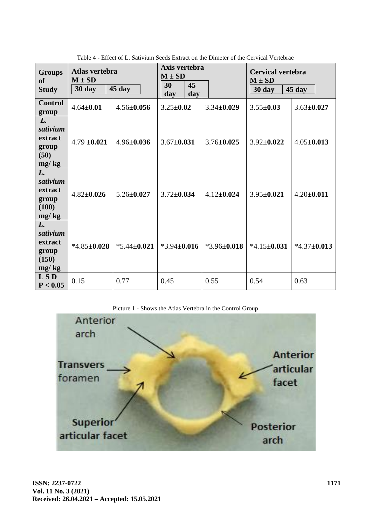| <b>Groups</b><br><sub>of</sub><br><b>Study</b>       | Atlas vertebra<br>$M \pm SD$<br>30 day | 45 day            | Axis vertebra<br>$M \pm SD$<br>30<br>45<br>day<br>day |                   | <b>Cervical vertebra</b><br>$M \pm SD$<br>45 day<br>30 day |                  |
|------------------------------------------------------|----------------------------------------|-------------------|-------------------------------------------------------|-------------------|------------------------------------------------------------|------------------|
| <b>Control</b><br>group                              | $4.64 \pm 0.01$                        | $4.56 \pm 0.056$  | $3.25 \pm 0.02$                                       | $3.34 \pm 0.029$  | $3.55 \pm 0.03$                                            | $3.63 \pm 0.027$ |
| L.<br>sativium<br>extract<br>group<br>(50)<br>mg/kg  | $4.79 \pm 0.021$                       | $4.96 \pm 0.036$  | $3.67 \pm 0.031$                                      | $3.76 \pm 0.025$  | $3.92 \pm 0.022$                                           | $4.05 \pm 0.013$ |
| L.<br>sativium<br>extract<br>group<br>(100)<br>mg/kg | $4.82 \pm 0.026$                       | $5.26 \pm 0.027$  | $3.72 \pm 0.034$                                      | $4.12 \pm 0.024$  | $3.95 \pm 0.021$                                           | $4.20 \pm 0.011$ |
| L.<br>sativium<br>extract<br>group<br>(150)<br>mg/kg | $*4.85 \pm 0.028$                      | $*5.44 \pm 0.021$ | $*3.94\pm0.016$                                       | $*3.96 \pm 0.018$ | $*4.15 \pm 0.031$                                          | $*4.37\pm0.013$  |
| LSD<br>P < 0.05                                      | 0.15                                   | 0.77              | 0.45                                                  | 0.55              | 0.54                                                       | 0.63             |

Table 4 - Effect of L. Sativium Seeds Extract on the Dimeter of the Cervical Vertebrae



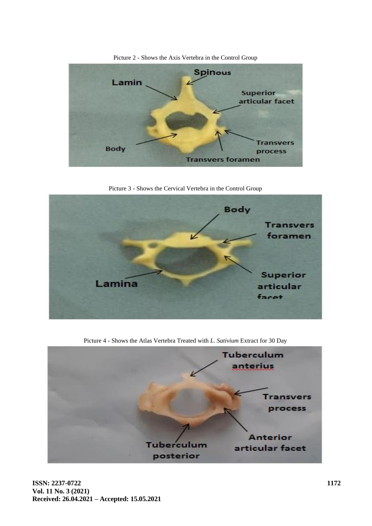

Picture 2 - Shows the Axis Vertebra in the Control Group

Picture 3 - Shows the Cervical Vertebra in the Control Group



Picture 4 - Shows the Atlas Vertebra Treated with *L. Sativium* Extract for 30 Day

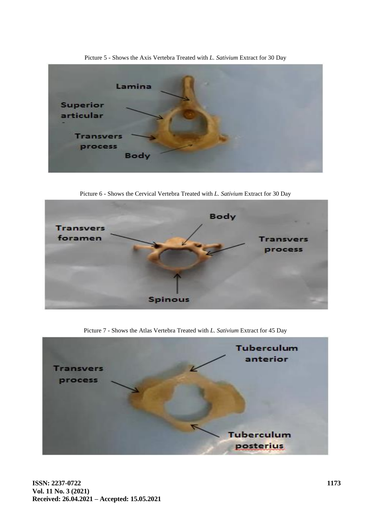

Picture 5 - Shows the Axis Vertebra Treated with *L. Sativium* Extract for 30 Day

Picture 6 - Shows the Cervical Vertebra Treated with *L. Sativium* Extract for 30 Day



Picture 7 - Shows the Atlas Vertebra Treated with *L. Sativium* Extract for 45 Day

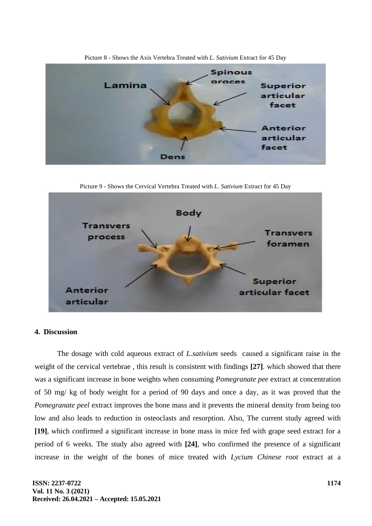

Picture 8 - Shows the Axis Vertebra Treated with *L. Sativium* Extract for 45 Day

Picture 9 - Shows the Cervical Vertebra Treated with *L. Sativium* Extract for 45 Day



### **4. Discussion**

The dosage with cold aqueous extract of *L.sativium* seeds caused a significant raise in the weight of the cervical vertebrae , this result is consistent with findings **[27]**. which showed that there was a significant increase in bone weights when consuming *Pomegranate pee* extract at concentration of 50 mg/ kg of body weight for a period of 90 days and once a day, as it was proved that the *Pomegranate peel* extract improves the bone mass and it prevents the mineral density from being too low and also leads to reduction in osteoclasts and resorption. Also, The current study agreed with **[19]**, which confirmed a significant increase in bone mass in mice fed with grape seed extract for a period of 6 weeks. The study also agreed with **[24]**, who confirmed the presence of a significant increase in the weight of the bones of mice treated with *Lycium Chinese root* extract at a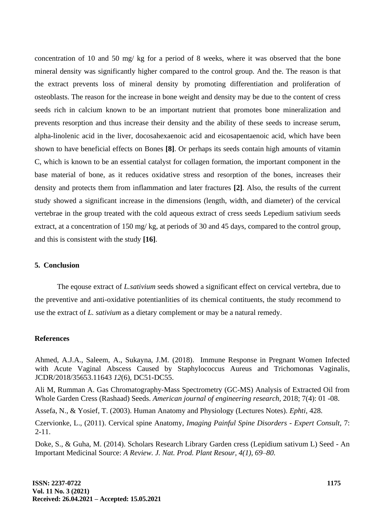concentration of 10 and 50 mg/ kg for a period of 8 weeks, where it was observed that the bone mineral density was significantly higher compared to the control group. And the. The reason is that the extract prevents loss of mineral density by promoting differentiation and proliferation of osteoblasts. The reason for the increase in bone weight and density may be due to the content of cress seeds rich in calcium known to be an important nutrient that promotes bone mineralization and prevents resorption and thus increase their density and the ability of these seeds to increase serum, alpha-linolenic acid in the liver, docosahexaenoic acid and eicosapentaenoic acid, which have been shown to have beneficial effects on Bones **[8]**. Or perhaps its seeds contain high amounts of vitamin C, which is known to be an essential catalyst for collagen formation, the important component in the base material of bone, as it reduces oxidative stress and resorption of the bones, increases their density and protects them from inflammation and later fractures **[2]**. Also, the results of the current study showed a significant increase in the dimensions (length, width, and diameter) of the cervical vertebrae in the group treated with the cold aqueous extract of cress seeds Lepedium sativium seeds extract, at a concentration of 150 mg/ kg, at periods of 30 and 45 days, compared to the control group, and this is consistent with the study **[16]**.

### **5. Conclusion**

The eqouse extract of *L.sativium* seeds showed a significant effect on cervical vertebra, due to the preventive and anti-oxidative potentianlities of its chemical contituents, the study recommend to use the extract of *L. sativium* as a dietary complement or may be a natural remedy.

# **References**

Ahmed, A.J.A., Saleem, A., Sukayna, J.M. (2018). Immune Response in Pregnant Women Infected with Acute Vaginal Abscess Caused by Staphylococcus Aureus and Trichomonas Vaginalis, JCDR/2018/35653.11643 *12*(6), DC51-DC55.

Ali M, Rumman A. Gas Chromatography-Mass Spectrometry (GC-MS) Analysis of Extracted Oil from Whole Garden Cress (Rashaad) Seeds. *American journal of engineering research,* 2018; 7(4): 01 -08.

Assefa, N., & Yosief, T. (2003). Human Anatomy and Physiology (Lectures Notes). *Ephti*, 428.

Czervionke, L., (2011). Cervical spine Anatomy, *Imaging Painful Spine Disorders - Expert Consult,* 7: 2-11.

Doke, S., & Guha, M. (2014). Scholars Research Library Garden cress (Lepidium sativum L) Seed - An Important Medicinal Source: *A Review. J. Nat. Prod. Plant Resour, 4(1), 69–80.*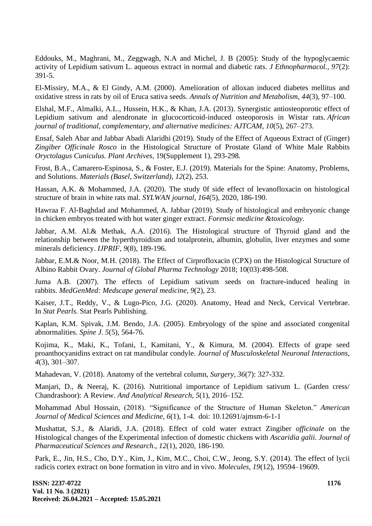Eddouks, M., Maghrani, M., Zeggwagh, N.A and Michel, J. B (2005): Study of the hypoglycaemic activity of Lepidium sativum L. aqueous extract in normal and diabetic rats. *J Ethnopharmacol., 97*(2): 391-5.

El-Missiry, M.A., & El Gindy, A.M. (2000). Amelioration of alloxan induced diabetes mellitus and oxidative stress in rats by oil of Eruca sativa seeds. *Annals of Nutrition and Metabolism*, *44*(3), 97–100.

Elshal, M.F., Almalki, A.L., Hussein, H.K., & Khan, J.A. (2013). Synergistic antiosteoporotic effect of Lepidium sativum and alendronate in glucocorticoid-induced osteoporosis in Wistar rats. *African journal of traditional, complementary, and alternative medicines: AJTCAM*, *10*(5), 267–273.

Ensaf, Saleh Abar and Jabbar Abadi Alaridhi (2019). Study of the Effect of Aqueous Extract of (Ginger) *Zingiber Officinale Rosco* in the Histological Structure of Prostate Gland of White Male Rabbits *Oryctolagus Cuniculus. Plant Archives,* 19(Supplement 1), 293-298*.*

Frost, B.A., Camarero-Espinosa, S., & Foster, E.J. (2019). Materials for the Spine: Anatomy, Problems, and Solutions. *Materials (Basel, Switzerland)*, *12*(2), 253.

Hassan, A.K. & Mohammed, J.A. (2020). The study 0f side effect of levanofloxacin on histological structure of brain in white rats mal. *SYLWAN journal, 164*(5), 2020, 186-190.

Hawraa F. Al-Baghdad and Mohammed, A. Jabbar (2019). Study of histological and embryonic change in chicken embryos treated with hot water ginger extract. *Forensic medicine &toxicology.*

Jabbar, A.M. Al.& Methak, A.A. (2016). The Histological structure of Thyroid gland and the relationship between the hyperthyroidism and totalprotein, albumin, globulin, liver enzymes and some minerals deficiency. *IJPRIF, 9*(8), 189-196.

Jabbar, E.M.& Noor, M.H. (2018). The Effect of Cirprofloxacin (CPX) on the Histological Structure of Albino Rabbit Ovary. *Journal of Global Pharma Technology* 2018; 10(03):498-508.

Juma A.B. (2007). The effects of Lepidium sativum seeds on fracture-induced healing in rabbits. *MedGenMed: Medscape general medicine*, *9*(2), 23.

Kaiser, J.T., Reddy, V., & Lugo-Pico, J.G. (2020). Anatomy, Head and Neck, Cervical Vertebrae. In *Stat Pearls.* Stat Pearls Publishing.

Kaplan, K.M. Spivak, J.M. Bendo, J.A. (2005). Embryology of the spine and associated congenital abnormalities. *Spine J*. *5*(5), 564-76.

Kojima, K., Maki, K., Tofani, I., Kamitani, Y., & Kimura, M. (2004). Effects of grape seed proanthocyanidins extract on rat mandibular condyle. *Journal of Musculoskeletal Neuronal Interactions*, *4*(3), 301–307.

Mahadevan, V. (2018). Anatomy of the vertebral column, *Surgery, 36*(7): 327-332.

Manjari, D., & Neeraj, K. (2016). Nutritional importance of Lepidium sativum L. (Garden cress/ Chandrashoor): A Review. *And Analytical Research*, *5*(1), 2016–152.

Mohammad Abul Hossain, (2018). "Significance of the Structure of Human Skeleton*.*" *American Journal of Medical Sciences and Medicine*, *6*(1), 1-4. doi: 10.12691/ajmsm-6-1-1

Mushattat, S.J., & Alaridi, J.A. (2018). Effect of cold water extract Zingiber *officinale* on the Histological changes of the Experimental infection of domestic chickens with *Ascaridia galii. Journal of Pharmaceutical Sciences and Research., 12*(1), 2020, 186-190.

Park, E., Jin, H.S., Cho, D.Y., Kim, J., Kim, M.C., Choi, C.W., Jeong, S.Y. (2014). The effect of lycii radicis cortex extract on bone formation in vitro and in vivo. *Molecules*, *19*(12), 19594–19609.